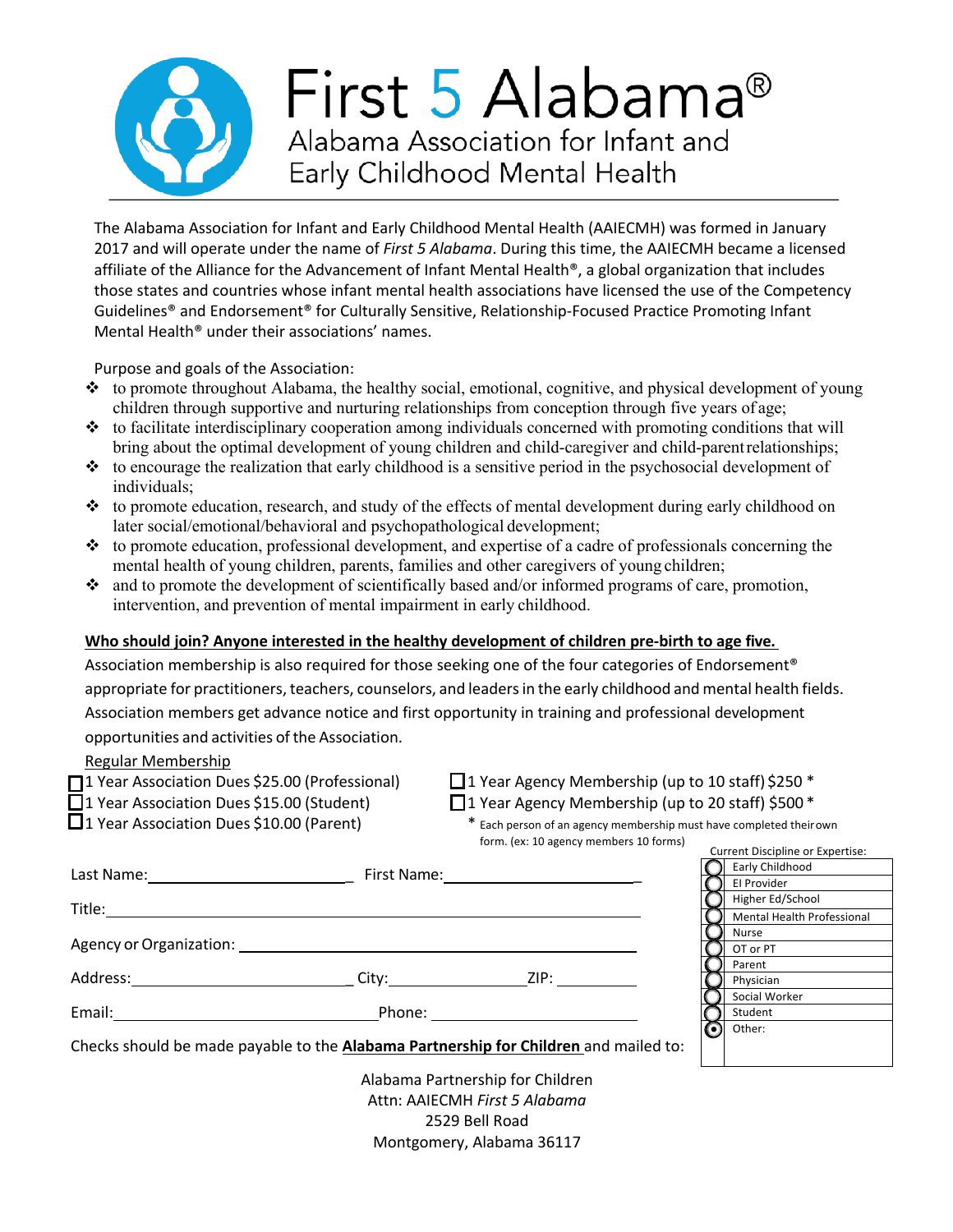

The Alabama Association for Infant and Early Childhood Mental Health (AAIECMH) was formed in January 2017 and will operate under the name of *First 5 Alabama*. During this time, the AAIECMH became a licensed affiliate of the Alliance for the Advancement of Infant Mental Health®, a global organization that includes those states and countries whose infant mental health associations have licensed the use of the Competency Guidelines® and Endorsement® for Culturally Sensitive, Relationship-Focused Practice Promoting Infant Mental Health® under their associations' names.

Purpose and goals of the Association:

- $\bullet\bullet\bullet$  to promote throughout Alabama, the healthy social, emotional, cognitive, and physical development of young children through supportive and nurturing relationships from conception through five years of age;
- $\cdot \cdot$  to facilitate interdisciplinary cooperation among individuals concerned with promoting conditions that will bring about the optimal development of young children and child-caregiver and child-parentrelationships;
- $\bullet\bullet\bullet$  to encourage the realization that early childhood is a sensitive period in the psychosocial development of individuals;
- $\cdot \cdot$  to promote education, research, and study of the effects of mental development during early childhood on later social/emotional/behavioral and psychopathological development;
- $\cdot \cdot$  to promote education, professional development, and expertise of a cadre of professionals concerning the mental health of young children, parents, families and other caregivers of young children;
- $\cdot$  and to promote the development of scientifically based and/or informed programs of care, promotion, intervention, and prevention of mental impairment in early childhood.

## **Who should join? Anyone interested in the healthy development of children pre-birth to age five.**

Association membership is also required for those seeking one of the four categories of Endorsement® appropriate for practitioners, teachers, counselors, and leaders in the early childhood and mental health fields. Association members get advance notice and first opportunity in training and professional development opportunities and activities of the Association.

## Regular Membership

- $\Box$ 1 Year Association Dues \$25.00 (Professional)  $\Box$ 1 Year Agency Membership (up to 10 staff) \$250 \*
	-
- $\Box$ 1 Year Association Dues \$15.00 (Student)  $\Box$ 1 Year Agency Membership (up to 20 staff) \$500 \*
- 
- $\Box$  1 Year Association Dues \$10.00 (Parent)  $*$  Each person of an agency membership must have completed theirown form. (ex: 10 agency members 10 forms) Current Discipline or Expertise:

| Last Name:              | First Name: The Control                                                              |      |                  | Early Childhood            |
|-------------------------|--------------------------------------------------------------------------------------|------|------------------|----------------------------|
|                         |                                                                                      |      |                  | El Provider                |
| Title:                  |                                                                                      |      |                  | Higher Ed/School           |
|                         |                                                                                      |      |                  | Mental Health Professional |
|                         |                                                                                      |      |                  | <b>Nurse</b>               |
| Agency or Organization: |                                                                                      |      |                  | OT or PT                   |
|                         |                                                                                      |      |                  | Parent                     |
| Address:                | City:                                                                                | ZIP: |                  | Physician                  |
|                         |                                                                                      |      |                  | Social Worker              |
| Email:                  | Phone:                                                                               |      |                  | Student                    |
|                         |                                                                                      |      | $\mathbf \Theta$ | Other:                     |
|                         | Checks should be made payable to the Alabama Partnership for Children and mailed to: |      |                  |                            |
|                         | Alabama Dartnarshin far Children                                                     |      |                  |                            |

Alabama Partnership for Children Attn: AAIECMH *First 5 Alabama*  2529 Bell Road Montgomery, Alabama 36117